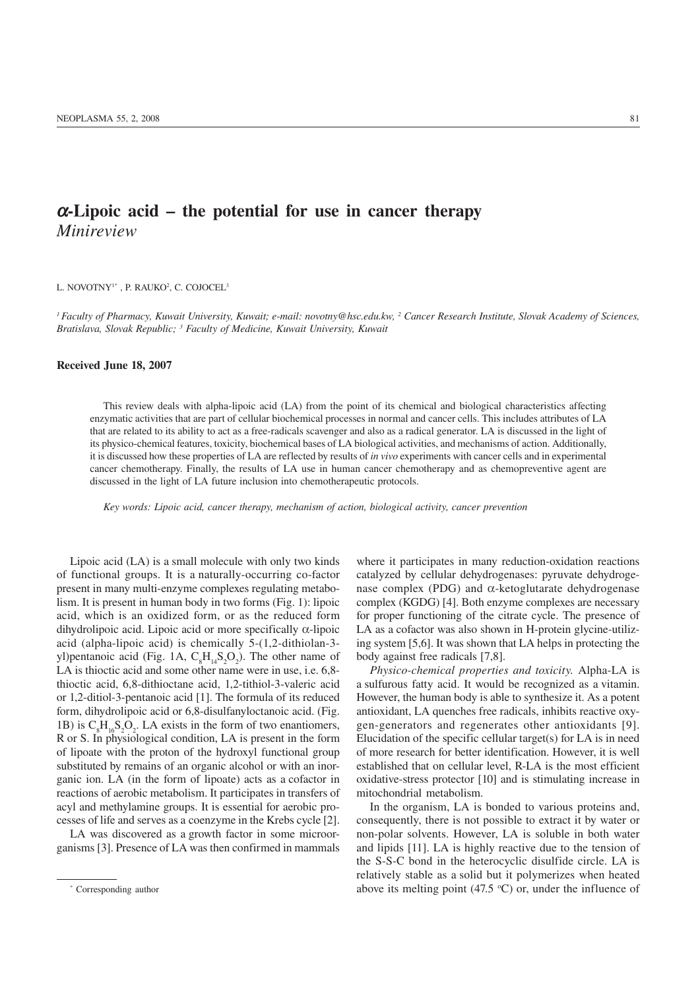## $\alpha$ -Lipoic acid – the potential for use in cancer therapy *Minireview*

L. NOVOTNY!\* , P. RAUKO<del>'</del>, C. COJOCEL<sup>3</sup>

*1 Faculty of Pharmacy, Kuwait University, Kuwait; e-mail: novotny@hsc.edu.kw, 2 Cancer Research Institute, Slovak Academy of Sciences, Bratislava, Slovak Republic; 3 Faculty of Medicine, Kuwait University, Kuwait*

## Received June 18, 2007

This review deals with alpha-lipoic acid (LA) from the point of its chemical and biological characteristics affecting enzymatic activities that are part of cellular biochemical processes in normal and cancer cells. This includes attributes of LA that are related to its ability to act as a free-radicals scavenger and also as a radical generator. LA is discussed in the light of its physico-chemical features, toxicity, biochemical bases of LA biological activities, and mechanisms of action. Additionally, it is discussed how these properties of LA are reflected by results of *in vivo* experiments with cancer cells and in experimental cancer chemotherapy. Finally, the results of LA use in human cancer chemotherapy and as chemopreventive agent are discussed in the light of LA future inclusion into chemotherapeutic protocols.

*Key words: Lipoic acid, cancer therapy, mechanism of action, biological activity, cancer prevention*

Lipoic acid (LA) is a small molecule with only two kinds of functional groups. It is a naturally-occurring co-factor present in many multi-enzyme complexes regulating metabolism. It is present in human body in two forms (Fig. 1): lipoic acid, which is an oxidized form, or as the reduced form dihydrolipoic acid. Lipoic acid or more specifically  $\alpha$ -lipoic acid (alpha-lipoic acid) is chemically 5-(1,2-dithiolan-3 yl)pentanoic acid (Fig. 1A,  $C_8H_{14}S_2O_2$ ). The other name of LA is thioctic acid and some other name were in use, i.e.  $6,8$ thioctic acid, 6,8-dithioctane acid, 1,2-tithiol-3-valeric acid or 1,2-ditiol-3-pentanoic acid [1]. The formula of its reduced form, dihydrolipoic acid or 6,8-disulfanyloctanoic acid. (Fig. 1B) is  $C_8H_{16}S_2O_2$ . LA exists in the form of two enantiomers, R or S. In physiological condition, LA is present in the form of lipoate with the proton of the hydroxyl functional group substituted by remains of an organic alcohol or with an inorganic ion. LA (in the form of lipoate) acts as a cofactor in reactions of aerobic metabolism. It participates in transfers of acyl and methylamine groups. It is essential for aerobic processes of life and serves as a coenzyme in the Krebs cycle [2].

LA was discovered as a growth factor in some microorganisms [3]. Presence of LA was then confirmed in mammals where it participates in many reduction-oxidation reactions catalyzed by cellular dehydrogenases: pyruvate dehydrogenase complex (PDG) and α-ketoglutarate dehydrogenase complex (KGDG) [4]. Both enzyme complexes are necessary for proper functioning of the citrate cycle. The presence of LA as a cofactor was also shown in H-protein glycine-utilizing system [5,6]. It was shown that LA helps in protecting the body against free radicals [7,8].

*Physico-chemical properties and toxicity.* Alpha-LA is a sulfurous fatty acid. It would be recognized as a vitamin. However, the human body is able to synthesize it. As a potent antioxidant, LA quenches free radicals, inhibits reactive oxygen-generators and regenerates other antioxidants [9]. Elucidation of the specific cellular target(s) for LA is in need of more research for better identification. However, it is well established that on cellular level, R-LA is the most efficient oxidative-stress protector [10] and is stimulating increase in mitochondrial metabolism.

In the organism, LA is bonded to various proteins and, consequently, there is not possible to extract it by water or non-polar solvents. However, LA is soluble in both water and lipids [11]. LA is highly reactive due to the tension of the S-S-C bond in the heterocyclic disulfide circle. LA is relatively stable as a solid but it polymerizes when heated above its melting point  $(47.5 \text{ °C})$  or, under the influence of

<sup>\*</sup> Corresponding author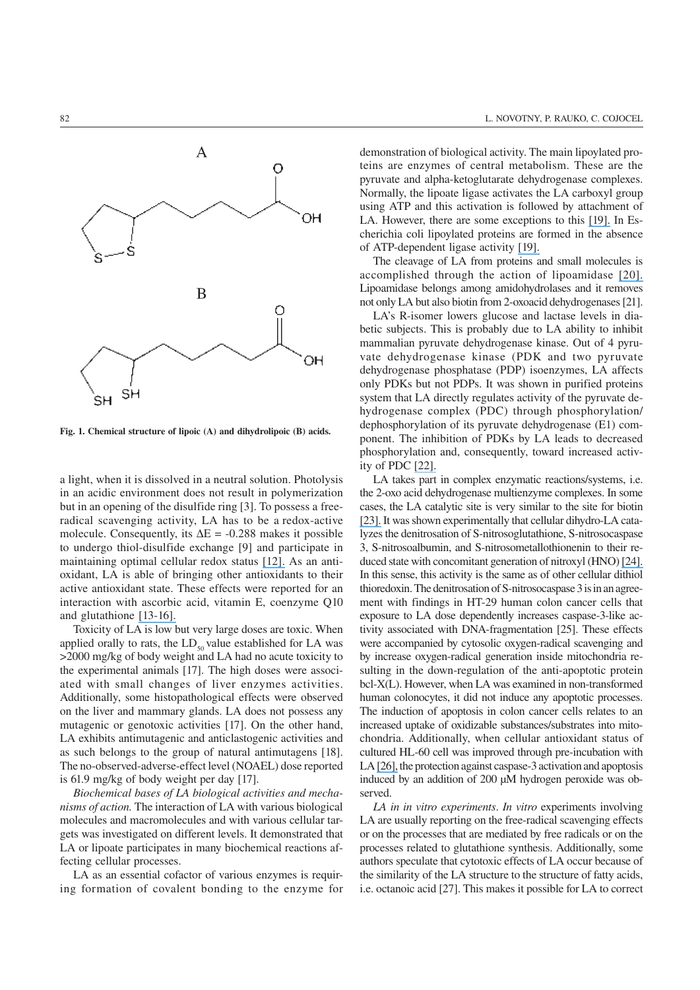

Fig. 1. Chemical structure of lipoic (A) and dihydrolipoic (B) acids.

a light, when it is dissolved in a neutral solution. Photolysis in an acidic environment does not result in polymerization but in an opening of the disulfide ring [3]. To possess a freeradical scavenging activity, LA has to be a redox-active molecule. Consequently, its  $\Delta E = -0.288$  makes it possible to undergo thiol-disulfide exchange [9] and participate in maintaining optimal cellular redox status [\[12\].](https://www.researchgate.net/publication/7431603_Exercise_training_and_the_antioxidant_a-lipoic_acid_in_the_treatment_of_insulin_resistance_and_type_2_diabetes?el=1_x_8&enrichId=rgreq-10dc5561f8cdbe3ae9c9a17528510772-XXX&enrichSource=Y292ZXJQYWdlOzU2MTUyNjY7QVM6MTQ3MzgyNzk2ODIwNDg0QDE0MTIxNTAyMDUyNjQ=) As an antioxidant, LA is able of bringing other antioxidants to their active antioxidant state. These effects were reported for an interaction with ascorbic acid, vitamin E, coenzyme Q10 and glutathione [\[13-16\].](https://www.researchgate.net/publication/20662965_Antioxidant_activity_of_dihydrolipoate_against_microsomal_lipid_peroxidation_and_its_dependence_on_I-tocopherol?el=1_x_8&enrichId=rgreq-10dc5561f8cdbe3ae9c9a17528510772-XXX&enrichSource=Y292ZXJQYWdlOzU2MTUyNjY7QVM6MTQ3MzgyNzk2ODIwNDg0QDE0MTIxNTAyMDUyNjQ=)

Toxicity of LA is low but very large doses are toxic. When applied orally to rats, the  $LD_{50}$  value established for LA was >2000 mg/kg of body weight and LA had no acute toxicity to the experimental animals [17]. The high doses were associated with small changes of liver enzymes activities. Additionally, some histopathological effects were observed on the liver and mammary glands. LA does not possess any mutagenic or genotoxic activities [17]. On the other hand, LA exhibits antimutagenic and anticlastogenic activities and as such belongs to the group of natural antimutagens [18]. The no-observed-adverse-effect level (NOAEL) dose reported is 61.9 mg/kg of body weight per day [17].

*Biochemical bases of LA biological activities and mechanisms of action.* The interaction of LA with various biological molecules and macromolecules and with various cellular targets was investigated on different levels. It demonstrated that LA or lipoate participates in many biochemical reactions affecting cellular processes.

LA as an essential cofactor of various enzymes is requiring formation of covalent bonding to the enzyme for demonstration of biological activity. The main lipoylated proteins are enzymes of central metabolism. These are the pyruvate and alpha-ketoglutarate dehydrogenase complexes. Normally, the lipoate ligase activates the LA carboxyl group using ATP and this activation is followed by attachment of LA. However, there are some exceptions to this [\[19\].](https://www.researchgate.net/publication/14001972_Jordan_S_W_Cronan_J_E_A_new_metabolic_link_The_acyl_carrier_protein_of_lipid_synthesis_donates_lipoic_acid_to_the_pyruvate_dehydrogenase_complex_in_Escherichia_coli_and_mitochondria_J_Biol_Chem_272_17?el=1_x_8&enrichId=rgreq-10dc5561f8cdbe3ae9c9a17528510772-XXX&enrichSource=Y292ZXJQYWdlOzU2MTUyNjY7QVM6MTQ3MzgyNzk2ODIwNDg0QDE0MTIxNTAyMDUyNjQ=) In Escherichia coli lipoylated proteins are formed in the absence of ATP-dependent ligase activity [\[19\].](https://www.researchgate.net/publication/14001972_Jordan_S_W_Cronan_J_E_A_new_metabolic_link_The_acyl_carrier_protein_of_lipid_synthesis_donates_lipoic_acid_to_the_pyruvate_dehydrogenase_complex_in_Escherichia_coli_and_mitochondria_J_Biol_Chem_272_17?el=1_x_8&enrichId=rgreq-10dc5561f8cdbe3ae9c9a17528510772-XXX&enrichSource=Y292ZXJQYWdlOzU2MTUyNjY7QVM6MTQ3MzgyNzk2ODIwNDg0QDE0MTIxNTAyMDUyNjQ=)

The cleavage of LA from proteins and small molecules is accomplished through the action of lipoamidase [\[20\].](https://www.researchgate.net/publication/10017886_Studies_on_the_nature_and_reaction_of_protein-bound_lipoic_acid?el=1_x_8&enrichId=rgreq-10dc5561f8cdbe3ae9c9a17528510772-XXX&enrichSource=Y292ZXJQYWdlOzU2MTUyNjY7QVM6MTQ3MzgyNzk2ODIwNDg0QDE0MTIxNTAyMDUyNjQ=) Lipoamidase belongs among amidohydrolases and it removes not only LA but also biotin from 2-oxoacid dehydrogenases [21].

LA's R-isomer lowers glucose and lactase levels in diabetic subjects. This is probably due to LA ability to inhibit mammalian pyruvate dehydrogenase kinase. Out of 4 pyruvate dehydrogenase kinase (PDK and two pyruvate dehydrogenase phosphatase (PDP) isoenzymes, LA affects only PDKs but not PDPs. It was shown in purified proteins system that LA directly regulates activity of the pyruvate dehydrogenase complex (PDC) through phosphorylation/ dephosphorylation of its pyruvate dehydrogenase (E1) component. The inhibition of PDKs by LA leads to decreased phosphorylation and, consequently, toward increased activity of PDC [\[22\].](https://www.researchgate.net/publication/51365317_R-Lipoic_Acid_Inhibits_Mammalian_Pyruvate_Dehydrogenase_Kinase?el=1_x_8&enrichId=rgreq-10dc5561f8cdbe3ae9c9a17528510772-XXX&enrichSource=Y292ZXJQYWdlOzU2MTUyNjY7QVM6MTQ3MzgyNzk2ODIwNDg0QDE0MTIxNTAyMDUyNjQ=)

LA takes part in complex enzymatic reactions/systems, i.e. the 2-oxo acid dehydrogenase multienzyme complexes. In some cases, the LA catalytic site is very similar to the site for biotin [\[23\].](https://www.researchgate.net/publication/7385942_Structure_of_a_Putative_Lipoate_Protein_Ligase_from_Thermoplasma_acidophilum_and_the_Mechanism_of_Target_Selection_for_Post-translational_Modification?el=1_x_8&enrichId=rgreq-10dc5561f8cdbe3ae9c9a17528510772-XXX&enrichSource=Y292ZXJQYWdlOzU2MTUyNjY7QVM6MTQ3MzgyNzk2ODIwNDg0QDE0MTIxNTAyMDUyNjQ=) It was shown experimentally that cellular dihydro-LA catalyzes the denitrosation of S-nitrosoglutathione, S-nitrosocaspase 3, S-nitrosoalbumin, and S-nitrosometallothionenin to their reduced state with concomitant generation of nitroxyl (HNO) [\[24\].](https://www.researchgate.net/publication/7489833_Thioredoxin_and_Lipoic_Acid_Catalyze_the_Denitrosation_of_Low_Molecular_Weight_and_Protein_S_-Nitrosothiols?el=1_x_8&enrichId=rgreq-10dc5561f8cdbe3ae9c9a17528510772-XXX&enrichSource=Y292ZXJQYWdlOzU2MTUyNjY7QVM6MTQ3MzgyNzk2ODIwNDg0QDE0MTIxNTAyMDUyNjQ=) In this sense, this activity is the same as of other cellular dithiol thioredoxin. The denitrosation of S-nitrosocaspase 3 is in an agreement with findings in HT-29 human colon cancer cells that exposure to LA dose dependently increases caspase-3-like activity associated with DNA-fragmentation [25]. These effects were accompanied by cytosolic oxygen-radical scavenging and by increase oxygen-radical generation inside mitochondria resulting in the down-regulation of the anti-apoptotic protein bcl-X(L). However, when LA was examined in non-transformed human colonocytes, it did not induce any apoptotic processes. The induction of apoptosis in colon cancer cells relates to an increased uptake of oxidizable substances/substrates into mitochondria. Additionally, when cellular antioxidant status of cultured HL-60 cell was improved through pre-incubation with LA [\[26\],](https://www.researchgate.net/publication/11388917_Myeloperoxidase-dependent_caspase-3_activation_and_apoptosis_in_HL-60_cells_Protection_by_the_antioxidants_ascorbate_and_dihydrolipoic_acid?el=1_x_8&enrichId=rgreq-10dc5561f8cdbe3ae9c9a17528510772-XXX&enrichSource=Y292ZXJQYWdlOzU2MTUyNjY7QVM6MTQ3MzgyNzk2ODIwNDg0QDE0MTIxNTAyMDUyNjQ=) the protection against caspase-3 activation and apoptosis induced by an addition of 200 μM hydrogen peroxide was observed.

*LA in in vitro experiments*. *In vitro* experiments involving LA are usually reporting on the free-radical scavenging effects or on the processes that are mediated by free radicals or on the processes related to glutathione synthesis. Additionally, some authors speculate that cytotoxic effects of LA occur because of the similarity of the LA structure to the structure of fatty acids, i.e. octanoic acid [27]. This makes it possible for LA to correct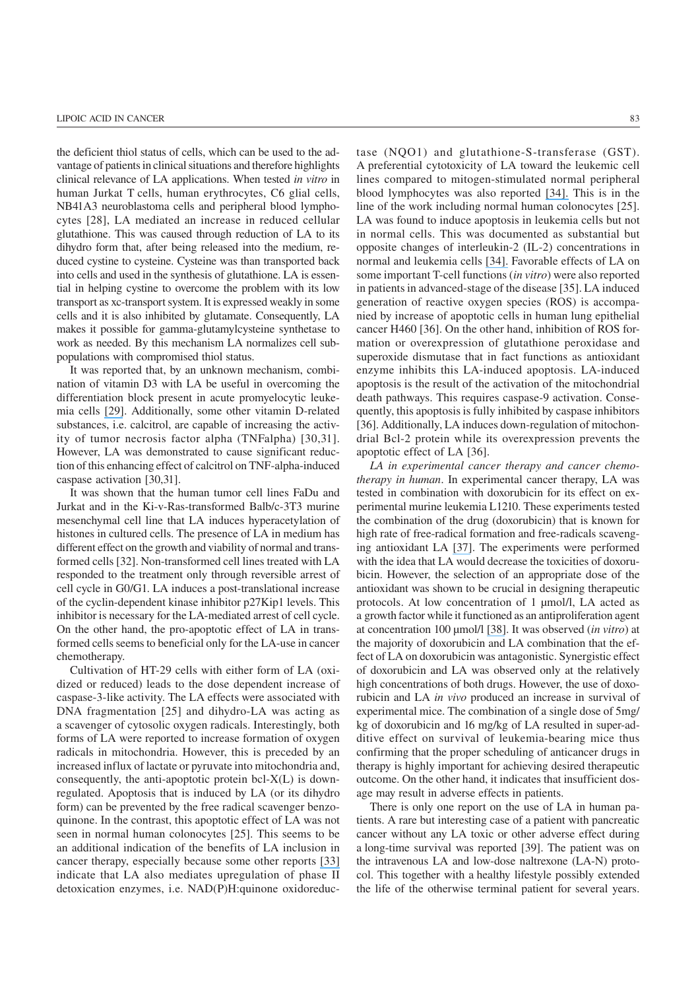the deficient thiol status of cells, which can be used to the advantage of patients in clinical situations and therefore highlights clinical relevance of LA applications. When tested *in vitro* in human Jurkat T cells, human erythrocytes, C6 glial cells, NB41A3 neuroblastoma cells and peripheral blood lymphocytes [28], LA mediated an increase in reduced cellular glutathione. This was caused through reduction of LA to its dihydro form that, after being released into the medium, reduced cystine to cysteine. Cysteine was than transported back into cells and used in the synthesis of glutathione. LA is essential in helping cystine to overcome the problem with its low transport as xc-transport system. It is expressed weakly in some cells and it is also inhibited by glutamate. Consequently, LA makes it possible for gamma-glutamylcysteine synthetase to work as needed. By this mechanism LA normalizes cell subpopulations with compromised thiol status.

It was reported that, by an unknown mechanism, combination of vitamin D3 with LA be useful in overcoming the differentiation block present in acute promyelocytic leukemia cells [\[29\]](https://www.researchgate.net/publication/13915310_Induction_of_the_differentiation_of_HL-60_promyelocytic_leukemia_cells_by_vitamin_E_and_other_antioxidants_in_combination_with_low_levels_of_vitamin_D3_Possible_relationship_to_NF-kB?el=1_x_8&enrichId=rgreq-10dc5561f8cdbe3ae9c9a17528510772-XXX&enrichSource=Y292ZXJQYWdlOzU2MTUyNjY7QVM6MTQ3MzgyNzk2ODIwNDg0QDE0MTIxNTAyMDUyNjQ=). Additionally, some other vitamin D-related substances, i.e. calcitrol, are capable of increasing the activity of tumor necrosis factor alpha (TNFalpha) [30,31]. However, LA was demonstrated to cause significant reduction of this enhancing effect of calcitrol on TNF-alpha-induced caspase activation [30,31].

It was shown that the human tumor cell lines FaDu and Jurkat and in the Ki-v-Ras-transformed Balb/c-3T3 murine mesenchymal cell line that LA induces hyperacetylation of histones in cultured cells. The presence of LA in medium has different effect on the growth and viability of normal and transformed cells [32]. Non-transformed cell lines treated with LA responded to the treatment only through reversible arrest of cell cycle in G0/G1. LA induces a post-translational increase of the cyclin-dependent kinase inhibitor p27Kip1 levels. This inhibitor is necessary for the LA-mediated arrest of cell cycle. On the other hand, the pro-apoptotic effect of LA in transformed cells seems to beneficial only for the LA-use in cancer chemotherapy.

Cultivation of HT-29 cells with either form of LA (oxidized or reduced) leads to the dose dependent increase of caspase-3-like activity. The LA effects were associated with DNA fragmentation [25] and dihydro-LA was acting as a scavenger of cytosolic oxygen radicals. Interestingly, both forms of LA were reported to increase formation of oxygen radicals in mitochondria. However, this is preceded by an increased influx of lactate or pyruvate into mitochondria and, consequently, the anti-apoptotic protein bcl- $X(L)$  is downregulated. Apoptosis that is induced by LA (or its dihydro form) can be prevented by the free radical scavenger benzoquinone. In the contrast, this apoptotic effect of LA was not seen in normal human colonocytes [25]. This seems to be an additional indication of the benefits of LA inclusion in cancer therapy, especially because some other reports [\[33\]](https://www.researchgate.net/publication/11207558_The_Neuroprotective_Antioxidant_a-lipoic_Acid_Induces_Detoxication_Enzymes_in_Cultured_Astroglial_Cells?el=1_x_8&enrichId=rgreq-10dc5561f8cdbe3ae9c9a17528510772-XXX&enrichSource=Y292ZXJQYWdlOzU2MTUyNjY7QVM6MTQ3MzgyNzk2ODIwNDg0QDE0MTIxNTAyMDUyNjQ=) indicate that LA also mediates upregulation of phase II detoxication enzymes, i.e. NAD(P)H:quinone oxidoreductase (NQO1) and glutathione-S-transferase (GST). A preferential cytotoxicity of LA toward the leukemic cell lines compared to mitogen-stimulated normal peripheral blood lymphocytes was also reported [\[34\].](https://www.researchgate.net/publication/11518921_Differential_effects_of_the_antioxidant_a-lipoic_acid_on_the_proliferation_of_mitogen-stimulated_peripheral_blood_lymphocytes_and_leukaemic_T_cells?el=1_x_8&enrichId=rgreq-10dc5561f8cdbe3ae9c9a17528510772-XXX&enrichSource=Y292ZXJQYWdlOzU2MTUyNjY7QVM6MTQ3MzgyNzk2ODIwNDg0QDE0MTIxNTAyMDUyNjQ=) This is in the line of the work including normal human colonocytes [25]. LA was found to induce apoptosis in leukemia cells but not in normal cells. This was documented as substantial but opposite changes of interleukin-2 (IL-2) concentrations in normal and leukemia cells [\[34\].](https://www.researchgate.net/publication/11518921_Differential_effects_of_the_antioxidant_a-lipoic_acid_on_the_proliferation_of_mitogen-stimulated_peripheral_blood_lymphocytes_and_leukaemic_T_cells?el=1_x_8&enrichId=rgreq-10dc5561f8cdbe3ae9c9a17528510772-XXX&enrichSource=Y292ZXJQYWdlOzU2MTUyNjY7QVM6MTQ3MzgyNzk2ODIwNDg0QDE0MTIxNTAyMDUyNjQ=) Favorable effects of LA on some important T-cell functions (*in vitro*) were also reported in patients in advanced-stage of the disease [35]. LA induced generation of reactive oxygen species (ROS) is accompanied by increase of apoptotic cells in human lung epithelial cancer H460 [36]. On the other hand, inhibition of ROS formation or overexpression of glutathione peroxidase and superoxide dismutase that in fact functions as antioxidant enzyme inhibits this LA-induced apoptosis. LA-induced apoptosis is the result of the activation of the mitochondrial death pathways. This requires caspase-9 activation. Consequently, this apoptosis is fully inhibited by caspase inhibitors [36]. Additionally, LA induces down-regulation of mitochondrial Bcl-2 protein while its overexpression prevents the apoptotic effect of LA [36].

*LA in experimental cancer therapy and cancer chemotherapy in human*. In experimental cancer therapy, LA was tested in combination with doxorubicin for its effect on experimental murine leukemia L1210. These experiments tested the combination of the drug (doxorubicin) that is known for high rate of free-radical formation and free-radicals scavenging antioxidant LA [\[37\]](https://www.researchgate.net/publication/51359424_Combined_effect_of_lipoic_acid_and_doxorubicyn_in_murine_leukemia?el=1_x_8&enrichId=rgreq-10dc5561f8cdbe3ae9c9a17528510772-XXX&enrichSource=Y292ZXJQYWdlOzU2MTUyNjY7QVM6MTQ3MzgyNzk2ODIwNDg0QDE0MTIxNTAyMDUyNjQ=). The experiments were performed with the idea that LA would decrease the toxicities of doxorubicin. However, the selection of an appropriate dose of the antioxidant was shown to be crucial in designing therapeutic protocols. At low concentration of 1 μmol/l, LA acted as a growth factor while it functioned as an antiproliferation agent at concentration 100 μmol/l [\[38\]](https://www.researchgate.net/publication/7291871_The_Long-term_Survival_of_a_Patient_With_Pancreatic_Cancer_With_Metastases_to_the_Liver_After_Treatment_With_the_Intravenous_-Lipoic_AcidLow-Dose_Naltrexone_Protocol?el=1_x_8&enrichId=rgreq-10dc5561f8cdbe3ae9c9a17528510772-XXX&enrichSource=Y292ZXJQYWdlOzU2MTUyNjY7QVM6MTQ3MzgyNzk2ODIwNDg0QDE0MTIxNTAyMDUyNjQ=). It was observed (*in vitro*) at the majority of doxorubicin and LA combination that the effect of LA on doxorubicin was antagonistic. Synergistic effect of doxorubicin and LA was observed only at the relatively high concentrations of both drugs. However, the use of doxorubicin and LA *in vivo* produced an increase in survival of experimental mice. The combination of a single dose of 5mg/ kg of doxorubicin and 16 mg/kg of LA resulted in super-additive effect on survival of leukemia-bearing mice thus confirming that the proper scheduling of anticancer drugs in therapy is highly important for achieving desired therapeutic outcome. On the other hand, it indicates that insufficient dosage may result in adverse effects in patients.

There is only one report on the use of LA in human patients. A rare but interesting case of a patient with pancreatic cancer without any LA toxic or other adverse effect during a long-time survival was reported [39]. The patient was on the intravenous LA and low-dose naltrexone (LA-N) protocol. This together with a healthy lifestyle possibly extended the life of the otherwise terminal patient for several years.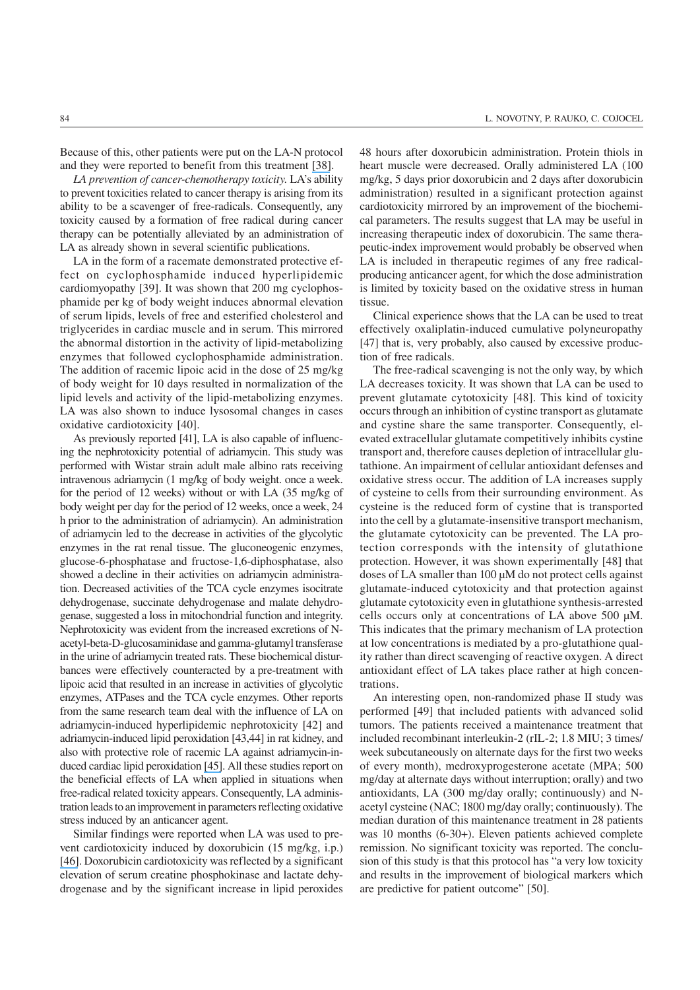Because of this, other patients were put on the LA-N protocol and they were reported to benefit from this treatment [\[38\]](https://www.researchgate.net/publication/7291871_The_Long-term_Survival_of_a_Patient_With_Pancreatic_Cancer_With_Metastases_to_the_Liver_After_Treatment_With_the_Intravenous_-Lipoic_AcidLow-Dose_Naltrexone_Protocol?el=1_x_8&enrichId=rgreq-10dc5561f8cdbe3ae9c9a17528510772-XXX&enrichSource=Y292ZXJQYWdlOzU2MTUyNjY7QVM6MTQ3MzgyNzk2ODIwNDg0QDE0MTIxNTAyMDUyNjQ=).

*LA prevention of cancer-chemotherapy toxicity.* LA's ability to prevent toxicities related to cancer therapy is arising from its ability to be a scavenger of free-radicals. Consequently, any toxicity caused by a formation of free radical during cancer therapy can be potentially alleviated by an administration of LA as already shown in several scientific publications.

LA in the form of a racemate demonstrated protective effect on cyclophosphamide induced hyperlipidemic cardiomyopathy [39]. It was shown that 200 mg cyclophosphamide per kg of body weight induces abnormal elevation of serum lipids, levels of free and esterified cholesterol and triglycerides in cardiac muscle and in serum. This mirrored the abnormal distortion in the activity of lipid-metabolizing enzymes that followed cyclophosphamide administration. The addition of racemic lipoic acid in the dose of 25 mg/kg of body weight for 10 days resulted in normalization of the lipid levels and activity of the lipid-metabolizing enzymes. LA was also shown to induce lysosomal changes in cases oxidative cardiotoxicity [40].

As previously reported [41], LA is also capable of influencing the nephrotoxicity potential of adriamycin. This study was performed with Wistar strain adult male albino rats receiving intravenous adriamycin (1 mg/kg of body weight. once a week. for the period of 12 weeks) without or with LA (35 mg/kg of body weight per day for the period of 12 weeks, once a week, 24 h prior to the administration of adriamycin). An administration of adriamycin led to the decrease in activities of the glycolytic enzymes in the rat renal tissue. The gluconeogenic enzymes, glucose-6-phosphatase and fructose-1,6-diphosphatase, also showed a decline in their activities on adriamycin administration. Decreased activities of the TCA cycle enzymes isocitrate dehydrogenase, succinate dehydrogenase and malate dehydrogenase, suggested a loss in mitochondrial function and integrity. Nephrotoxicity was evident from the increased excretions of Nacetyl-beta-D-glucosaminidase and gamma-glutamyl transferase in the urine of adriamycin treated rats. These biochemical disturbances were effectively counteracted by a pre-treatment with lipoic acid that resulted in an increase in activities of glycolytic enzymes, ATPases and the TCA cycle enzymes. Other reports from the same research team deal with the influence of LA on adriamycin-induced hyperlipidemic nephrotoxicity [42] and adriamycin-induced lipid peroxidation [43,44] in rat kidney, and also with protective role of racemic LA against adriamycin-induced cardiac lipid peroxidation [\[45\]](https://www.researchgate.net/publication/10735767_Protective_role_of_DLa-lipoic_acid_against_adriamycin-induced_cardiac_lipid_peroxidation?el=1_x_8&enrichId=rgreq-10dc5561f8cdbe3ae9c9a17528510772-XXX&enrichSource=Y292ZXJQYWdlOzU2MTUyNjY7QVM6MTQ3MzgyNzk2ODIwNDg0QDE0MTIxNTAyMDUyNjQ=). All these studies report on the beneficial effects of LA when applied in situations when free-radical related toxicity appears. Consequently, LA administration leads to an improvement in parameters reflecting oxidative stress induced by an anticancer agent.

Similar findings were reported when LA was used to prevent cardiotoxicity induced by doxorubicin (15 mg/kg, i.p.) [\[46\]](https://www.researchgate.net/publication/11011938_Alpha-lipoic_acid_ameliorates_myocardial_toxicity_induced_by_doxorubicin?el=1_x_8&enrichId=rgreq-10dc5561f8cdbe3ae9c9a17528510772-XXX&enrichSource=Y292ZXJQYWdlOzU2MTUyNjY7QVM6MTQ3MzgyNzk2ODIwNDg0QDE0MTIxNTAyMDUyNjQ=). Doxorubicin cardiotoxicity was reflected by a significant elevation of serum creatine phosphokinase and lactate dehydrogenase and by the significant increase in lipid peroxides 48 hours after doxorubicin administration. Protein thiols in heart muscle were decreased. Orally administered LA (100 mg/kg, 5 days prior doxorubicin and 2 days after doxorubicin administration) resulted in a significant protection against cardiotoxicity mirrored by an improvement of the biochemical parameters. The results suggest that LA may be useful in increasing therapeutic index of doxorubicin. The same therapeutic-index improvement would probably be observed when LA is included in therapeutic regimes of any free radicalproducing anticancer agent, for which the dose administration is limited by toxicity based on the oxidative stress in human tissue.

Clinical experience shows that the LA can be used to treat effectively oxaliplatin-induced cumulative polyneuropathy [47] that is, very probably, also caused by excessive production of free radicals.

The free-radical scavenging is not the only way, by which LA decreases toxicity. It was shown that LA can be used to prevent glutamate cytotoxicity [48]. This kind of toxicity occurs through an inhibition of cystine transport as glutamate and cystine share the same transporter. Consequently, elevated extracellular glutamate competitively inhibits cystine transport and, therefore causes depletion of intracellular glutathione. An impairment of cellular antioxidant defenses and oxidative stress occur. The addition of LA increases supply of cysteine to cells from their surrounding environment. As cysteine is the reduced form of cystine that is transported into the cell by a glutamate-insensitive transport mechanism, the glutamate cytotoxicity can be prevented. The LA protection corresponds with the intensity of glutathione protection. However, it was shown experimentally [48] that doses of LA smaller than 100 μM do not protect cells against glutamate-induced cytotoxicity and that protection against glutamate cytotoxicity even in glutathione synthesis-arrested cells occurs only at concentrations of LA above 500 μM. This indicates that the primary mechanism of LA protection at low concentrations is mediated by a pro-glutathione quality rather than direct scavenging of reactive oxygen. A direct antioxidant effect of LA takes place rather at high concentrations.

An interesting open, non-randomized phase II study was performed [49] that included patients with advanced solid tumors. The patients received a maintenance treatment that included recombinant interleukin-2 (rIL-2; 1.8 MIU; 3 times/ week subcutaneously on alternate days for the first two weeks of every month), medroxyprogesterone acetate (MPA; 500 mg/day at alternate days without interruption; orally) and two antioxidants, LA (300 mg/day orally; continuously) and Nacetyl cysteine (NAC; 1800 mg/day orally; continuously). The median duration of this maintenance treatment in 28 patients was 10 months (6-30+). Eleven patients achieved complete remission. No significant toxicity was reported. The conclusion of this study is that this protocol has "a very low toxicity and results in the improvement of biological markers which are predictive for patient outcome" [50].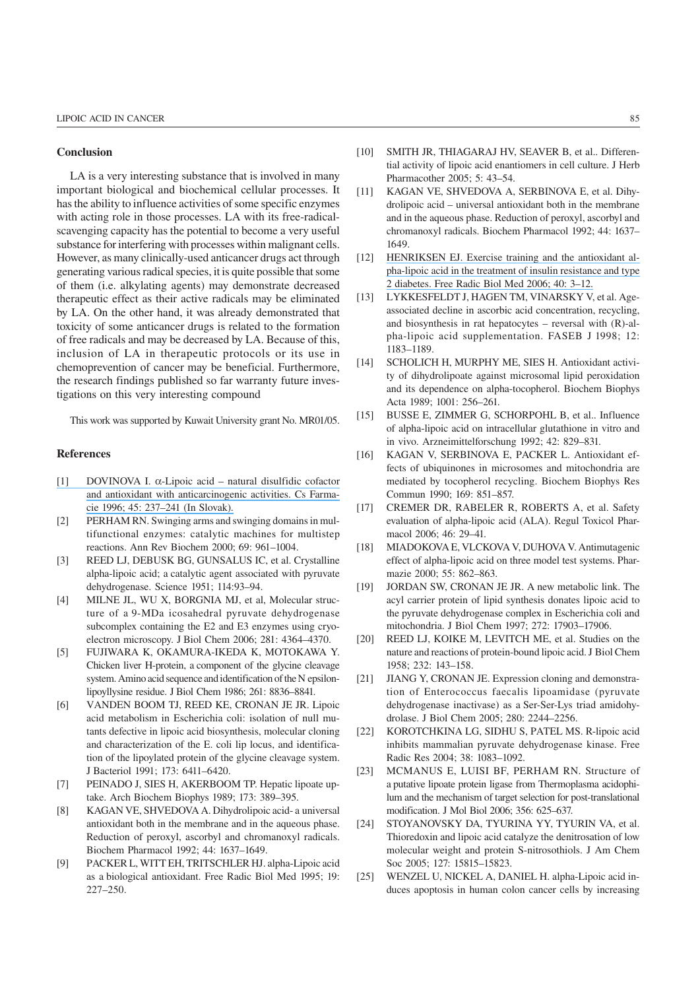## Conclusion

LA is a very interesting substance that is involved in many important biological and biochemical cellular processes. It has the ability to influence activities of some specific enzymes with acting role in those processes. LA with its free-radicalscavenging capacity has the potential to become a very useful substance for interfering with processes within malignant cells. However, as many clinically-used anticancer drugs act through generating various radical species, it is quite possible that some of them (i.e. alkylating agents) may demonstrate decreased therapeutic effect as their active radicals may be eliminated by LA. On the other hand, it was already demonstrated that toxicity of some anticancer drugs is related to the formation of free radicals and may be decreased by LA. Because of this, inclusion of LA in therapeutic protocols or its use in chemoprevention of cancer may be beneficial. Furthermore, the research findings published so far warranty future investigations on this very interesting compound

This work was supported by Kuwait University grant No. MR01/05.

## References

- [1] DOVINOVA I. α[-Lipoic acid natural disulfidic cofactor](https://www.researchgate.net/publication/14197980_a-Lipoic_acid_-_a_natural_disulfide_cofactor_and_antioxidant_with_anticarcinogenic_effects?el=1_x_8&enrichId=rgreq-10dc5561f8cdbe3ae9c9a17528510772-XXX&enrichSource=Y292ZXJQYWdlOzU2MTUyNjY7QVM6MTQ3MzgyNzk2ODIwNDg0QDE0MTIxNTAyMDUyNjQ=) [and antioxidant with anticarcinogenic activities. Cs Farma](https://www.researchgate.net/publication/14197980_a-Lipoic_acid_-_a_natural_disulfide_cofactor_and_antioxidant_with_anticarcinogenic_effects?el=1_x_8&enrichId=rgreq-10dc5561f8cdbe3ae9c9a17528510772-XXX&enrichSource=Y292ZXJQYWdlOzU2MTUyNjY7QVM6MTQ3MzgyNzk2ODIwNDg0QDE0MTIxNTAyMDUyNjQ=)[cie 1996; 45: 237–241 \(In Slovak\).](https://www.researchgate.net/publication/14197980_a-Lipoic_acid_-_a_natural_disulfide_cofactor_and_antioxidant_with_anticarcinogenic_effects?el=1_x_8&enrichId=rgreq-10dc5561f8cdbe3ae9c9a17528510772-XXX&enrichSource=Y292ZXJQYWdlOzU2MTUyNjY7QVM6MTQ3MzgyNzk2ODIwNDg0QDE0MTIxNTAyMDUyNjQ=)
- [2] PERHAM RN. Swinging arms and swinging domains in multifunctional enzymes: catalytic machines for multistep reactions. Ann Rev Biochem 2000; 69: 961–1004.
- [3] REED LJ, DEBUSK BG, GUNSALUS IC, et al. Crystalline alpha-lipoic acid; a catalytic agent associated with pyruvate dehydrogenase. Science 1951; 114:93–94.
- [4] MILNE JL, WU X, BORGNIA MJ, et al, Molecular structure of a 9-MDa icosahedral pyruvate dehydrogenase subcomplex containing the E2 and E3 enzymes using cryoelectron microscopy. J Biol Chem 2006; 281: 4364–4370.
- [5] FUJIWARA K, OKAMURA-IKEDA K, MOTOKAWA Y. Chicken liver H-protein, a component of the glycine cleavage system. Amino acid sequence and identification of the N epsilonlipoyllysine residue. J Biol Chem 1986; 261: 8836–8841.
- [6] VANDEN BOOM TJ, REED KE, CRONAN JE JR. Lipoic acid metabolism in Escherichia coli: isolation of null mutants defective in lipoic acid biosynthesis, molecular cloning and characterization of the E. coli lip locus, and identification of the lipoylated protein of the glycine cleavage system. J Bacteriol 1991; 173: 6411–6420.
- [7] PEINADO J, SIES H, AKERBOOM TP. Hepatic lipoate uptake. Arch Biochem Biophys 1989; 173: 389–395.
- [8] KAGAN VE, SHVEDOVA A. Dihydrolipoic acid- a universal antioxidant both in the membrane and in the aqueous phase. Reduction of peroxyl, ascorbyl and chromanoxyl radicals. Biochem Pharmacol 1992; 44: 1637–1649.
- [9] PACKER L, WITT EH, TRITSCHLER HJ. alpha-Lipoic acid as a biological antioxidant. Free Radic Biol Med 1995; 19: 227–250.
- [10] SMITH JR, THIAGARAJ HV, SEAVER B, et al., Differential activity of lipoic acid enantiomers in cell culture. J Herb Pharmacother 2005; 5: 43–54.
- [11] KAGAN VE, SHVEDOVA A, SERBINOVA E, et al. Dihydrolipoic acid – universal antioxidant both in the membrane and in the aqueous phase. Reduction of peroxyl, ascorbyl and chromanoxyl radicals. Biochem Pharmacol 1992; 44: 1637– 1649.
- [12] [HENRIKSEN EJ. Exercise training and the antioxidant al](https://www.researchgate.net/publication/7431603_Exercise_training_and_the_antioxidant_a-lipoic_acid_in_the_treatment_of_insulin_resistance_and_type_2_diabetes?el=1_x_8&enrichId=rgreq-10dc5561f8cdbe3ae9c9a17528510772-XXX&enrichSource=Y292ZXJQYWdlOzU2MTUyNjY7QVM6MTQ3MzgyNzk2ODIwNDg0QDE0MTIxNTAyMDUyNjQ=)[pha-lipoic acid in the treatment of insulin resistance and type](https://www.researchgate.net/publication/7431603_Exercise_training_and_the_antioxidant_a-lipoic_acid_in_the_treatment_of_insulin_resistance_and_type_2_diabetes?el=1_x_8&enrichId=rgreq-10dc5561f8cdbe3ae9c9a17528510772-XXX&enrichSource=Y292ZXJQYWdlOzU2MTUyNjY7QVM6MTQ3MzgyNzk2ODIwNDg0QDE0MTIxNTAyMDUyNjQ=) [2 diabetes. Free Radic Biol Med 2006; 40: 3–12.](https://www.researchgate.net/publication/7431603_Exercise_training_and_the_antioxidant_a-lipoic_acid_in_the_treatment_of_insulin_resistance_and_type_2_diabetes?el=1_x_8&enrichId=rgreq-10dc5561f8cdbe3ae9c9a17528510772-XXX&enrichSource=Y292ZXJQYWdlOzU2MTUyNjY7QVM6MTQ3MzgyNzk2ODIwNDg0QDE0MTIxNTAyMDUyNjQ=)
- [13] LYKKESFELDT J, HAGEN TM, VINARSKY V, et al. Ageassociated decline in ascorbic acid concentration, recycling, and biosynthesis in rat hepatocytes – reversal with (R)-alpha-lipoic acid supplementation. FASEB J 1998; 12: 1183–1189.
- [14] SCHOLICH H, MURPHY ME, SIES H. Antioxidant activity of dihydrolipoate against microsomal lipid peroxidation and its dependence on alpha-tocopherol. Biochem Biophys Acta 1989; 1001: 256–261.
- [15] BUSSE E, ZIMMER G, SCHORPOHL B, et al.. Influence of alpha-lipoic acid on intracellular glutathione in vitro and in vivo. Arzneimittelforschung 1992; 42: 829–831.
- [16] KAGAN V, SERBINOVA E, PACKER L. Antioxidant effects of ubiquinones in microsomes and mitochondria are mediated by tocopherol recycling. Biochem Biophys Res Commun 1990; 169: 851–857.
- [17] CREMER DR, RABELER R, ROBERTS A, et al. Safety evaluation of alpha-lipoic acid (ALA). Regul Toxicol Pharmacol 2006; 46: 29–41.
- [18] MIADOKOVA E, VLCKOVA V, DUHOVA V. Antimutagenic effect of alpha-lipoic acid on three model test systems. Pharmazie 2000; 55: 862–863.
- [19] JORDAN SW, CRONAN JE JR. A new metabolic link. The acyl carrier protein of lipid synthesis donates lipoic acid to the pyruvate dehydrogenase complex in Escherichia coli and mitochondria. J Biol Chem 1997; 272: 17903–17906.
- [20] REED LJ, KOIKE M, LEVITCH ME, et al. Studies on the nature and reactions of protein-bound lipoic acid. J Biol Chem 1958; 232: 143–158.
- [21] JIANG Y, CRONAN JE. Expression cloning and demonstration of Enterococcus faecalis lipoamidase (pyruvate dehydrogenase inactivase) as a Ser-Ser-Lys triad amidohydrolase. J Biol Chem 2005; 280: 2244–2256.
- [22] KOROTCHKINA LG, SIDHU S, PATEL MS. R-lipoic acid inhibits mammalian pyruvate dehydrogenase kinase. Free Radic Res 2004; 38: 1083–1092.
- [23] MCMANUS E, LUISI BF, PERHAM RN. Structure of a putative lipoate protein ligase from Thermoplasma acidophilum and the mechanism of target selection for post-translational modification. J Mol Biol 2006; 356: 625–637.
- [24] STOYANOVSKY DA, TYURINA YY, TYURIN VA, et al. Thioredoxin and lipoic acid catalyze the denitrosation of low molecular weight and protein S-nitrosothiols. J Am Chem Soc 2005; 127: 15815–15823.
- [25] WENZEL U, NICKEL A, DANIEL H. alpha-Lipoic acid induces apoptosis in human colon cancer cells by increasing